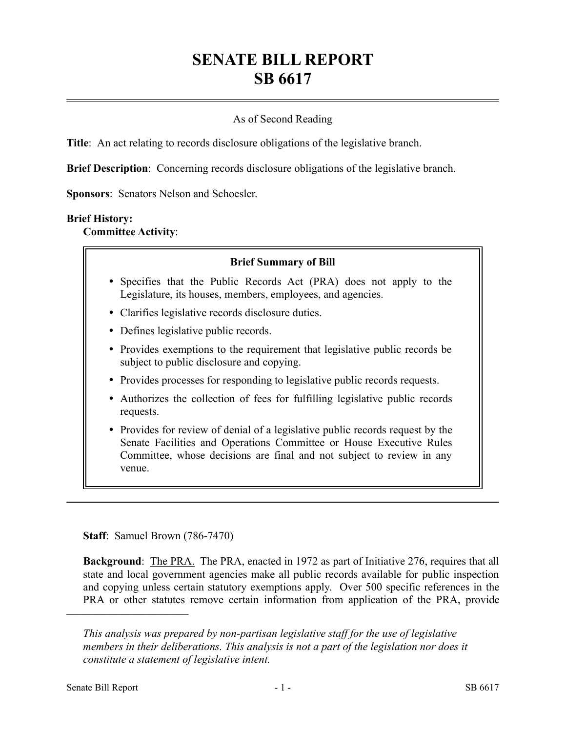# **SENATE BILL REPORT SB 6617**

# As of Second Reading

**Title**: An act relating to records disclosure obligations of the legislative branch.

**Brief Description**: Concerning records disclosure obligations of the legislative branch.

**Sponsors**: Senators Nelson and Schoesler.

#### **Brief History:**

**Committee Activity**:

#### **Brief Summary of Bill**

- Specifies that the Public Records Act (PRA) does not apply to the Legislature, its houses, members, employees, and agencies.
- Clarifies legislative records disclosure duties.
- Defines legislative public records.
- Provides exemptions to the requirement that legislative public records be subject to public disclosure and copying.
- Provides processes for responding to legislative public records requests.
- Authorizes the collection of fees for fulfilling legislative public records requests.
- Provides for review of denial of a legislative public records request by the Senate Facilities and Operations Committee or House Executive Rules Committee, whose decisions are final and not subject to review in any venue.

**Staff**: Samuel Brown (786-7470)

**Background:** The PRA. The PRA, enacted in 1972 as part of Initiative 276, requires that all state and local government agencies make all public records available for public inspection and copying unless certain statutory exemptions apply. Over 500 specific references in the PRA or other statutes remove certain information from application of the PRA, provide

––––––––––––––––––––––

*This analysis was prepared by non-partisan legislative staff for the use of legislative members in their deliberations. This analysis is not a part of the legislation nor does it constitute a statement of legislative intent.*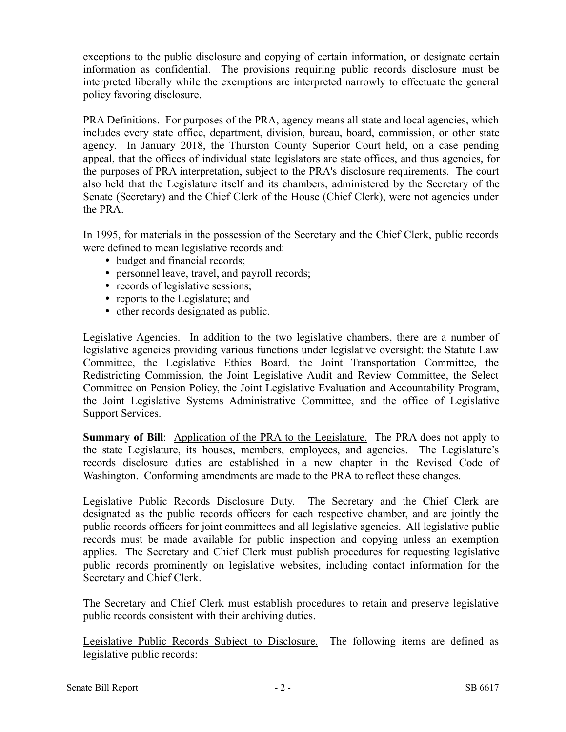exceptions to the public disclosure and copying of certain information, or designate certain information as confidential. The provisions requiring public records disclosure must be interpreted liberally while the exemptions are interpreted narrowly to effectuate the general policy favoring disclosure.

PRA Definitions. For purposes of the PRA, agency means all state and local agencies, which includes every state office, department, division, bureau, board, commission, or other state agency. In January 2018, the Thurston County Superior Court held, on a case pending appeal, that the offices of individual state legislators are state offices, and thus agencies, for the purposes of PRA interpretation, subject to the PRA's disclosure requirements. The court also held that the Legislature itself and its chambers, administered by the Secretary of the Senate (Secretary) and the Chief Clerk of the House (Chief Clerk), were not agencies under the PRA.

In 1995, for materials in the possession of the Secretary and the Chief Clerk, public records were defined to mean legislative records and:

- budget and financial records;
- personnel leave, travel, and payroll records;
- records of legislative sessions;
- reports to the Legislature; and
- other records designated as public.

Legislative Agencies. In addition to the two legislative chambers, there are a number of legislative agencies providing various functions under legislative oversight: the Statute Law Committee, the Legislative Ethics Board, the Joint Transportation Committee, the Redistricting Commission, the Joint Legislative Audit and Review Committee, the Select Committee on Pension Policy, the Joint Legislative Evaluation and Accountability Program, the Joint Legislative Systems Administrative Committee, and the office of Legislative Support Services.

**Summary of Bill:** Application of the PRA to the Legislature. The PRA does not apply to the state Legislature, its houses, members, employees, and agencies. The Legislature's records disclosure duties are established in a new chapter in the Revised Code of Washington. Conforming amendments are made to the PRA to reflect these changes.

Legislative Public Records Disclosure Duty. The Secretary and the Chief Clerk are designated as the public records officers for each respective chamber, and are jointly the public records officers for joint committees and all legislative agencies. All legislative public records must be made available for public inspection and copying unless an exemption applies. The Secretary and Chief Clerk must publish procedures for requesting legislative public records prominently on legislative websites, including contact information for the Secretary and Chief Clerk.

The Secretary and Chief Clerk must establish procedures to retain and preserve legislative public records consistent with their archiving duties.

Legislative Public Records Subject to Disclosure. The following items are defined as legislative public records: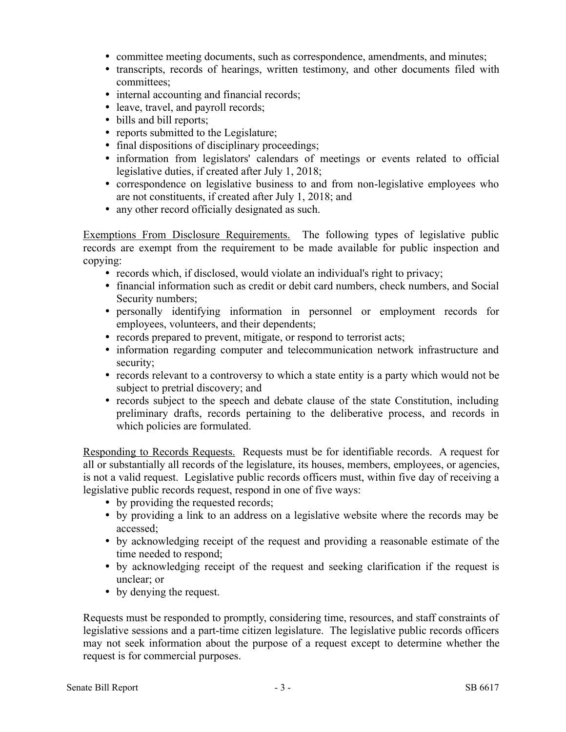- committee meeting documents, such as correspondence, amendments, and minutes;
- transcripts, records of hearings, written testimony, and other documents filed with committees;
- internal accounting and financial records;
- leave, travel, and payroll records;
- bills and bill reports;
- reports submitted to the Legislature;
- final dispositions of disciplinary proceedings;
- information from legislators' calendars of meetings or events related to official legislative duties, if created after July 1, 2018;
- correspondence on legislative business to and from non-legislative employees who are not constituents, if created after July 1, 2018; and
- any other record officially designated as such.

Exemptions From Disclosure Requirements. The following types of legislative public records are exempt from the requirement to be made available for public inspection and copying:

- records which, if disclosed, would violate an individual's right to privacy;
- financial information such as credit or debit card numbers, check numbers, and Social Security numbers;
- personally identifying information in personnel or employment records for employees, volunteers, and their dependents;
- records prepared to prevent, mitigate, or respond to terrorist acts;
- information regarding computer and telecommunication network infrastructure and security;
- records relevant to a controversy to which a state entity is a party which would not be subject to pretrial discovery; and
- records subject to the speech and debate clause of the state Constitution, including preliminary drafts, records pertaining to the deliberative process, and records in which policies are formulated.

Responding to Records Requests. Requests must be for identifiable records. A request for all or substantially all records of the legislature, its houses, members, employees, or agencies, is not a valid request. Legislative public records officers must, within five day of receiving a legislative public records request, respond in one of five ways:

- by providing the requested records;
- by providing a link to an address on a legislative website where the records may be accessed;
- by acknowledging receipt of the request and providing a reasonable estimate of the time needed to respond;
- by acknowledging receipt of the request and seeking clarification if the request is unclear; or
- by denying the request.

Requests must be responded to promptly, considering time, resources, and staff constraints of legislative sessions and a part-time citizen legislature. The legislative public records officers may not seek information about the purpose of a request except to determine whether the request is for commercial purposes.